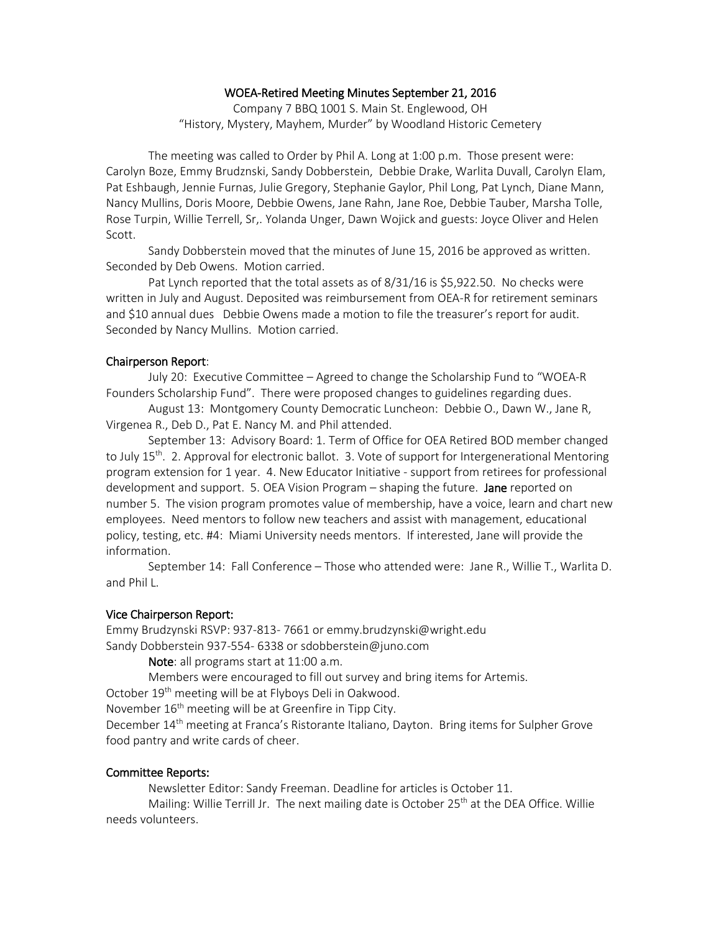#### WOEA-Retired Meeting Minutes September 21, 2016

Company 7 BBQ 1001 S. Main St. Englewood, OH "History, Mystery, Mayhem, Murder" by Woodland Historic Cemetery

The meeting was called to Order by Phil A. Long at 1:00 p.m. Those present were: Carolyn Boze, Emmy Brudznski, Sandy Dobberstein, Debbie Drake, Warlita Duvall, Carolyn Elam, Pat Eshbaugh, Jennie Furnas, Julie Gregory, Stephanie Gaylor, Phil Long, Pat Lynch, Diane Mann, Nancy Mullins, Doris Moore, Debbie Owens, Jane Rahn, Jane Roe, Debbie Tauber, Marsha Tolle, Rose Turpin, Willie Terrell, Sr,. Yolanda Unger, Dawn Wojick and guests: Joyce Oliver and Helen Scott.

Sandy Dobberstein moved that the minutes of June 15, 2016 be approved as written. Seconded by Deb Owens. Motion carried.

Pat Lynch reported that the total assets as of 8/31/16 is \$5,922.50. No checks were written in July and August. Deposited was reimbursement from OEA-R for retirement seminars and \$10 annual dues Debbie Owens made a motion to file the treasurer's report for audit. Seconded by Nancy Mullins. Motion carried.

### Chairperson Report:

July 20: Executive Committee – Agreed to change the Scholarship Fund to "WOEA-R Founders Scholarship Fund". There were proposed changes to guidelines regarding dues.

August 13: Montgomery County Democratic Luncheon: Debbie O., Dawn W., Jane R, Virgenea R., Deb D., Pat E. Nancy M. and Phil attended.

September 13: Advisory Board: 1. Term of Office for OEA Retired BOD member changed to July 15<sup>th</sup>. 2. Approval for electronic ballot. 3. Vote of support for Intergenerational Mentoring program extension for 1 year. 4. New Educator Initiative - support from retirees for professional development and support. 5. OEA Vision Program – shaping the future. Jane reported on number 5. The vision program promotes value of membership, have a voice, learn and chart new employees. Need mentors to follow new teachers and assist with management, educational policy, testing, etc. #4: Miami University needs mentors. If interested, Jane will provide the information.

September 14: Fall Conference – Those who attended were: Jane R., Willie T., Warlita D. and Phil L.

## Vice Chairperson Report:

Emmy Brudzynski RSVP: 937-813- 7661 or emmy.brudzynski@wright.edu Sandy Dobberstein 937-554- 6338 or sdobberstein@juno.com

Note: all programs start at 11:00 a.m.

Members were encouraged to fill out survey and bring items for Artemis.

October 19<sup>th</sup> meeting will be at Flyboys Deli in Oakwood.

November 16<sup>th</sup> meeting will be at Greenfire in Tipp City.

December 14<sup>th</sup> meeting at Franca's Ristorante Italiano, Dayton. Bring items for Sulpher Grove food pantry and write cards of cheer.

#### Committee Reports:

Newsletter Editor: Sandy Freeman. Deadline for articles is October 11.

Mailing: Willie Terrill Jr. The next mailing date is October 25<sup>th</sup> at the DEA Office. Willie needs volunteers.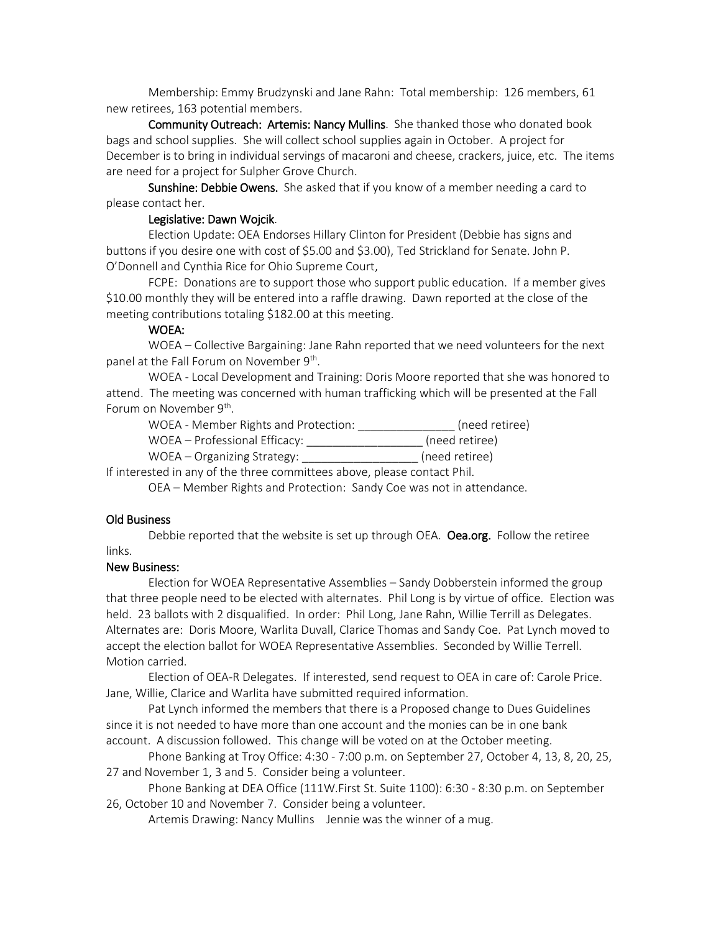Membership: Emmy Brudzynski and Jane Rahn: Total membership: 126 members, 61 new retirees, 163 potential members.

Community Outreach: Artemis: Nancy Mullins. She thanked those who donated book bags and school supplies. She will collect school supplies again in October. A project for December is to bring in individual servings of macaroni and cheese, crackers, juice, etc. The items are need for a project for Sulpher Grove Church.

Sunshine: Debbie Owens. She asked that if you know of a member needing a card to please contact her.

#### Legislative: Dawn Wojcik.

Election Update: OEA Endorses Hillary Clinton for President (Debbie has signs and buttons if you desire one with cost of \$5.00 and \$3.00), Ted Strickland for Senate. John P. O'Donnell and Cynthia Rice for Ohio Supreme Court,

FCPE: Donations are to support those who support public education. If a member gives \$10.00 monthly they will be entered into a raffle drawing. Dawn reported at the close of the meeting contributions totaling \$182.00 at this meeting.

### WOEA:

WOEA – Collective Bargaining: Jane Rahn reported that we need volunteers for the next panel at the Fall Forum on November 9<sup>th</sup>.

WOEA - Local Development and Training: Doris Moore reported that she was honored to attend. The meeting was concerned with human trafficking which will be presented at the Fall Forum on November 9<sup>th</sup>.

WOEA - Member Rights and Protection: \_\_\_\_\_\_\_\_\_\_\_\_\_\_\_ (need retiree) WOEA – Professional Efficacy: \_\_\_\_\_\_\_\_\_\_\_\_\_\_\_\_\_\_ (need retiree)

WOEA – Organizing Strategy: \_\_\_\_\_\_\_\_\_\_\_\_\_\_\_\_\_\_ (need retiree)

If interested in any of the three committees above, please contact Phil.

OEA – Member Rights and Protection: Sandy Coe was not in attendance.

## Old Business

Debbie reported that the website is set up through OEA. Oea.org. Follow the retiree links.

#### New Business:

Election for WOEA Representative Assemblies – Sandy Dobberstein informed the group that three people need to be elected with alternates. Phil Long is by virtue of office. Election was held. 23 ballots with 2 disqualified. In order: Phil Long, Jane Rahn, Willie Terrill as Delegates. Alternates are: Doris Moore, Warlita Duvall, Clarice Thomas and Sandy Coe. Pat Lynch moved to accept the election ballot for WOEA Representative Assemblies. Seconded by Willie Terrell. Motion carried.

Election of OEA-R Delegates. If interested, send request to OEA in care of: Carole Price. Jane, Willie, Clarice and Warlita have submitted required information.

Pat Lynch informed the members that there is a Proposed change to Dues Guidelines since it is not needed to have more than one account and the monies can be in one bank account. A discussion followed. This change will be voted on at the October meeting.

Phone Banking at Troy Office: 4:30 - 7:00 p.m. on September 27, October 4, 13, 8, 20, 25, 27 and November 1, 3 and 5. Consider being a volunteer.

Phone Banking at DEA Office (111W.First St. Suite 1100): 6:30 - 8:30 p.m. on September 26, October 10 and November 7. Consider being a volunteer.

Artemis Drawing: Nancy Mullins Jennie was the winner of a mug.